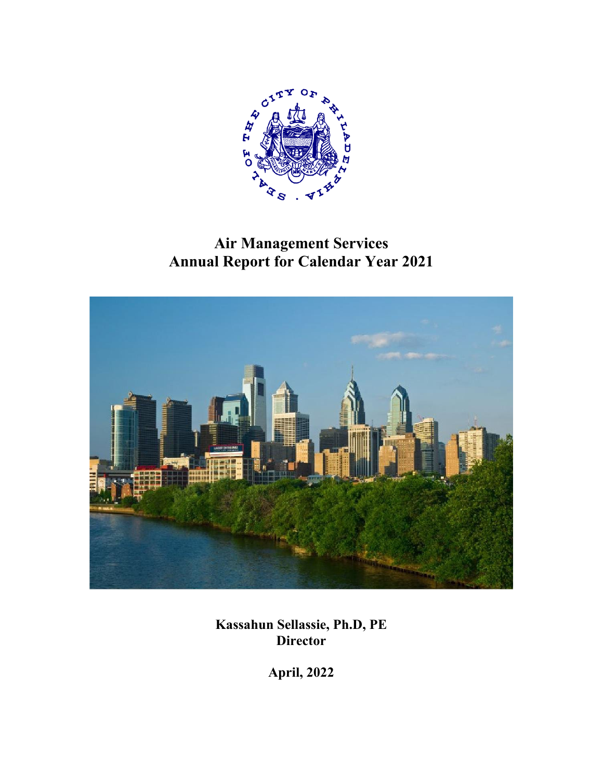

# **Air Management Services Annual Report for Calendar Year 2021**



**Kassahun Sellassie, Ph.D, PE Director** 

**April, 2022**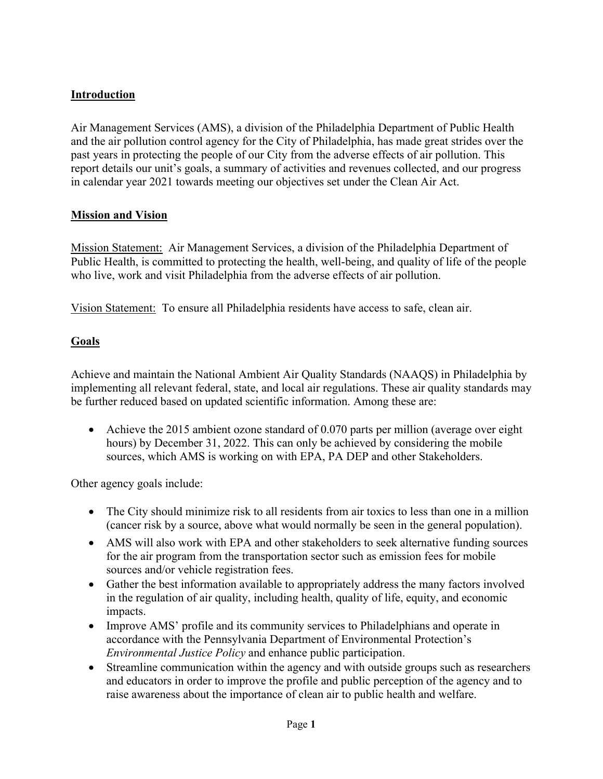# **Introduction**

Air Management Services (AMS), a division of the Philadelphia Department of Public Health and the air pollution control agency for the City of Philadelphia, has made great strides over the past years in protecting the people of our City from the adverse effects of air pollution. This report details our unit's goals, a summary of activities and revenues collected, and our progress in calendar year 2021 towards meeting our objectives set under the Clean Air Act.

## **Mission and Vision**

Mission Statement: Air Management Services, a division of the Philadelphia Department of Public Health, is committed to protecting the health, well-being, and quality of life of the people who live, work and visit Philadelphia from the adverse effects of air pollution.

Vision Statement: To ensure all Philadelphia residents have access to safe, clean air.

## **Goals**

Achieve and maintain the National Ambient Air Quality Standards (NAAQS) in Philadelphia by implementing all relevant federal, state, and local air regulations. These air quality standards may be further reduced based on updated scientific information. Among these are:

• Achieve the 2015 ambient ozone standard of 0.070 parts per million (average over eight hours) by December 31, 2022. This can only be achieved by considering the mobile sources, which AMS is working on with EPA, PA DEP and other Stakeholders.

Other agency goals include:

- The City should minimize risk to all residents from air toxics to less than one in a million (cancer risk by a source, above what would normally be seen in the general population).
- AMS will also work with EPA and other stakeholders to seek alternative funding sources for the air program from the transportation sector such as emission fees for mobile sources and/or vehicle registration fees.
- Gather the best information available to appropriately address the many factors involved in the regulation of air quality, including health, quality of life, equity, and economic impacts.
- Improve AMS' profile and its community services to Philadelphians and operate in accordance with the Pennsylvania Department of Environmental Protection's *Environmental Justice Policy* and enhance public participation.
- Streamline communication within the agency and with outside groups such as researchers and educators in order to improve the profile and public perception of the agency and to raise awareness about the importance of clean air to public health and welfare.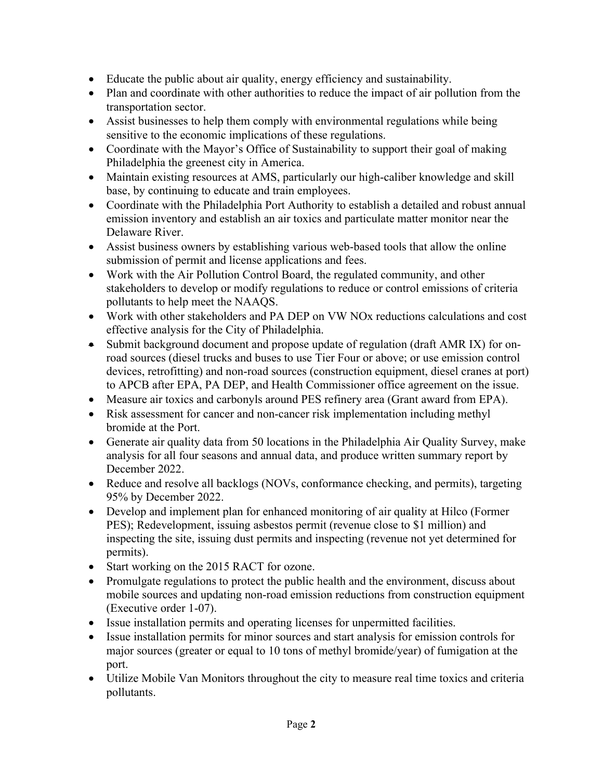- Educate the public about air quality, energy efficiency and sustainability.
- Plan and coordinate with other authorities to reduce the impact of air pollution from the transportation sector.
- Assist businesses to help them comply with environmental regulations while being sensitive to the economic implications of these regulations.
- Coordinate with the Mayor's Office of Sustainability to support their goal of making Philadelphia the greenest city in America.
- Maintain existing resources at AMS, particularly our high-caliber knowledge and skill base, by continuing to educate and train employees.
- Coordinate with the Philadelphia Port Authority to establish a detailed and robust annual emission inventory and establish an air toxics and particulate matter monitor near the Delaware River.
- Assist business owners by establishing various web-based tools that allow the online submission of permit and license applications and fees.
- Work with the Air Pollution Control Board, the regulated community, and other stakeholders to develop or modify regulations to reduce or control emissions of criteria pollutants to help meet the NAAQS.
- Work with other stakeholders and PA DEP on VW NOx reductions calculations and cost effective analysis for the City of Philadelphia.
- Submit background document and propose update of regulation (draft AMR IX) for onroad sources (diesel trucks and buses to use Tier Four or above; or use emission control devices, retrofitting) and non-road sources (construction equipment, diesel cranes at port) to APCB after EPA, PA DEP, and Health Commissioner office agreement on the issue.
- Measure air toxics and carbonyls around PES refinery area (Grant award from EPA).
- Risk assessment for cancer and non-cancer risk implementation including methyl bromide at the Port.
- Generate air quality data from 50 locations in the Philadelphia Air Quality Survey, make analysis for all four seasons and annual data, and produce written summary report by December 2022.
- Reduce and resolve all backlogs (NOVs, conformance checking, and permits), targeting 95% by December 2022.
- Develop and implement plan for enhanced monitoring of air quality at Hilco (Former PES); Redevelopment, issuing asbestos permit (revenue close to \$1 million) and inspecting the site, issuing dust permits and inspecting (revenue not yet determined for permits).
- Start working on the 2015 RACT for ozone.
- Promulgate regulations to protect the public health and the environment, discuss about mobile sources and updating non-road emission reductions from construction equipment (Executive order 1-07).
- Issue installation permits and operating licenses for unpermitted facilities.
- Issue installation permits for minor sources and start analysis for emission controls for major sources (greater or equal to 10 tons of methyl bromide/year) of fumigation at the port.
- Utilize Mobile Van Monitors throughout the city to measure real time toxics and criteria pollutants.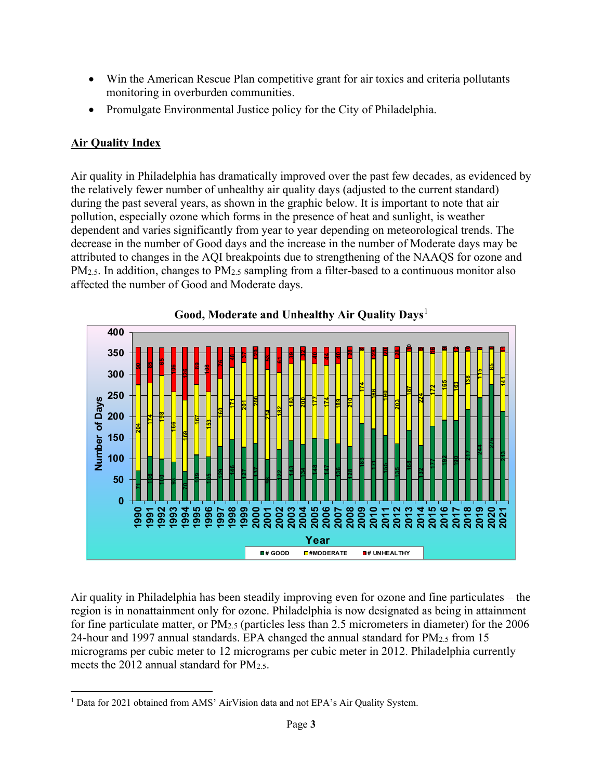- Win the American Rescue Plan competitive grant for air toxics and criteria pollutants monitoring in overburden communities.
- Promulgate Environmental Justice policy for the City of Philadelphia.

# **Air Quality Index**

Air quality in Philadelphia has dramatically improved over the past few decades, as evidenced by the relatively fewer number of unhealthy air quality days (adjusted to the current standard) during the past several years, as shown in the graphic below. It is important to note that air pollution, especially ozone which forms in the presence of heat and sunlight, is weather dependent and varies significantly from year to year depending on meteorological trends. The decrease in the number of Good days and the increase in the number of Moderate days may be attributed to changes in the AQI breakpoints due to strengthening of the NAAQS for ozone and PM<sub>2.5</sub>. In addition, changes to PM<sub>2.5</sub> sampling from a filter-based to a continuous monitor also affected the number of Good and Moderate days.



Air quality in Philadelphia has been steadily improving even for ozone and fine particulates – the region is in nonattainment only for ozone. Philadelphia is now designated as being in attainment for fine particulate matter, or PM2.5 (particles less than 2.5 micrometers in diameter) for the 2006 24-hour and 1997 annual standards. EPA changed the annual standard for PM2.5 from 15 micrograms per cubic meter to 12 micrograms per cubic meter in 2012. Philadelphia currently meets the 2012 annual standard for  $PM_{2.5}$ .

<span id="page-3-0"></span><sup>&</sup>lt;sup>1</sup> Data for 2021 obtained from AMS' AirVision data and not EPA's Air Quality System.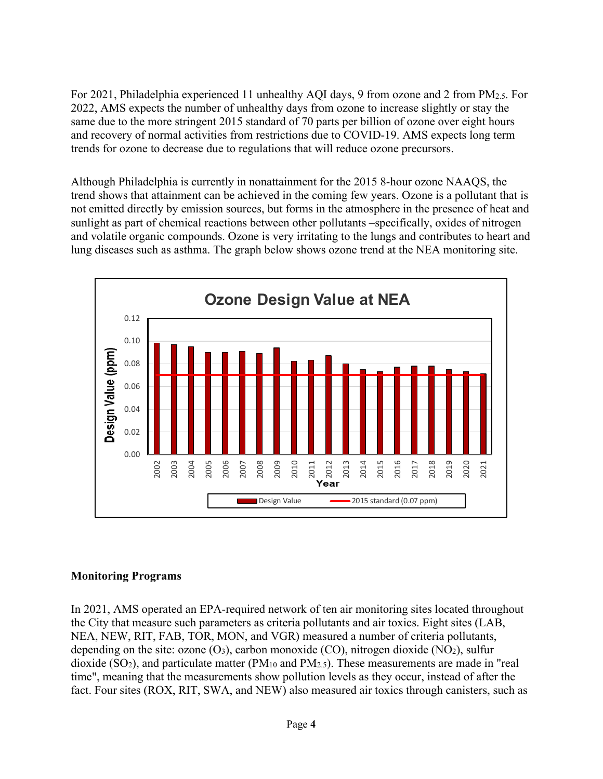For 2021, Philadelphia experienced 11 unhealthy AQI days, 9 from ozone and 2 from PM2.5. For 2022, AMS expects the number of unhealthy days from ozone to increase slightly or stay the same due to the more stringent 2015 standard of 70 parts per billion of ozone over eight hours and recovery of normal activities from restrictions due to COVID-19. AMS expects long term trends for ozone to decrease due to regulations that will reduce ozone precursors.

Although Philadelphia is currently in nonattainment for the 2015 8-hour ozone NAAQS, the trend shows that attainment can be achieved in the coming few years. Ozone is a pollutant that is not emitted directly by emission sources, but forms in the atmosphere in the presence of heat and sunlight as part of chemical reactions between other pollutants –specifically, oxides of nitrogen and volatile organic compounds. Ozone is very irritating to the lungs and contributes to heart and lung diseases such as asthma. The graph below shows ozone trend at the NEA monitoring site.



## **Monitoring Programs**

In 2021, AMS operated an EPA-required network of ten air monitoring sites located throughout the City that measure such parameters as criteria pollutants and air toxics. Eight sites (LAB, NEA, NEW, RIT, FAB, TOR, MON, and VGR) measured a number of criteria pollutants, depending on the site: ozone  $(O_3)$ , carbon monoxide  $(CO)$ , nitrogen dioxide  $(NO_2)$ , sulfur dioxide (SO<sub>2</sub>), and particulate matter (PM<sub>10</sub> and PM<sub>2.5</sub>). These measurements are made in "real time", meaning that the measurements show pollution levels as they occur, instead of after the fact. Four sites (ROX, RIT, SWA, and NEW) also measured air toxics through canisters, such as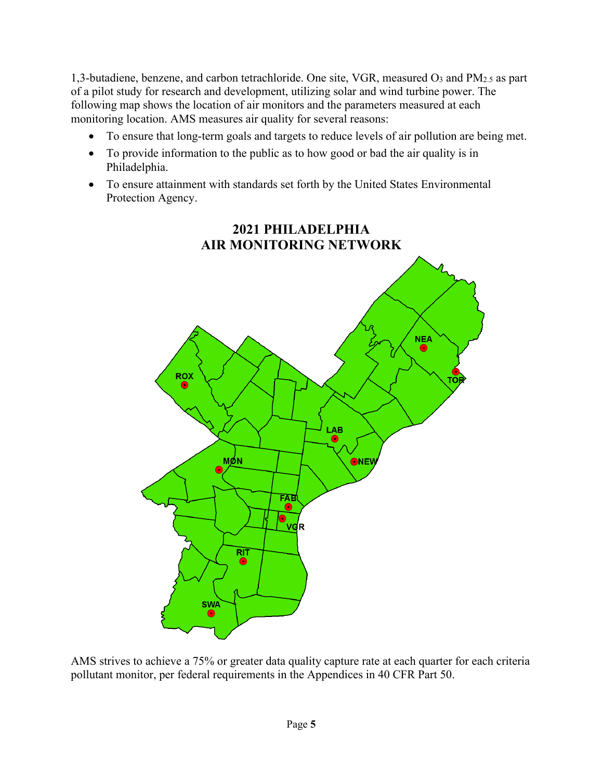1,3-butadiene, benzene, and carbon tetrachloride. One site, VGR, measured O3 and PM2.5 as part of a pilot study for research and development, utilizing solar and wind turbine power. The following map shows the location of air monitors and the parameters measured at each monitoring location. AMS measures air quality for several reasons:

- To ensure that long-term goals and targets to reduce levels of air pollution are being met.
- To provide information to the public as to how good or bad the air quality is in Philadelphia.
- To ensure attainment with standards set forth by the United States Environmental Protection Agency.



AMS strives to achieve a 75% or greater data quality capture rate at each quarter for each criteria pollutant monitor, per federal requirements in the Appendices in 40 CFR Part 50.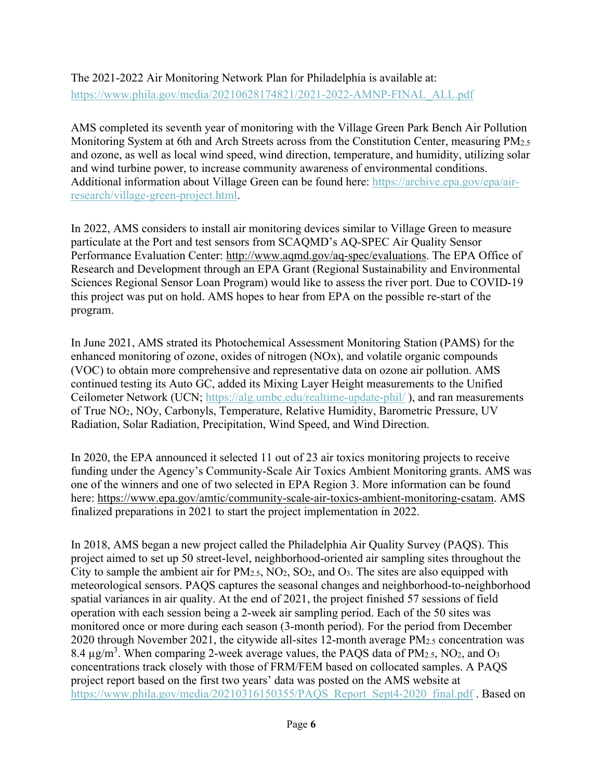The 2021-2022 Air Monitoring Network Plan for Philadelphia is available at: [https://www.phila.gov/media/20210628174821/2021-2022-AMNP-FINAL\\_ALL.pdf](https://www.phila.gov/media/20210628174821/2021-2022-AMNP-FINAL_ALL.pdf) 

AMS completed its seventh year of monitoring with the Village Green Park Bench Air Pollution Monitoring System at 6th and Arch Streets across from the Constitution Center, measuring PM<sub>2.5</sub> and ozone, as well as local wind speed, wind direction, temperature, and humidity, utilizing solar and wind turbine power, to increase community awareness of environmental conditions. Additional information about Village Green can be found here: [https://archive.epa.gov/epa/air](https://archive.epa.gov/epa/air-research/village-green-project.html)[research/village-green-project.html.](https://archive.epa.gov/epa/air-research/village-green-project.html)

In 2022, AMS considers to install air monitoring devices similar to Village Green to measure particulate at the Port and test sensors from SCAQMD's AQ-SPEC Air Quality Sensor Performance Evaluation Center: [http://www.aqmd.gov/aq-spec/evaluations.](http://www.aqmd.gov/aq-spec/evaluations) The EPA Office of Research and Development through an EPA Grant (Regional Sustainability and Environmental Sciences Regional Sensor Loan Program) would like to assess the river port. Due to COVID-19 this project was put on hold. AMS hopes to hear from EPA on the possible re-start of the program.

In June 2021, AMS strated its Photochemical Assessment Monitoring Station (PAMS) for the enhanced monitoring of ozone, oxides of nitrogen (NOx), and volatile organic compounds (VOC) to obtain more comprehensive and representative data on ozone air pollution. AMS continued testing its Auto GC, added its Mixing Layer Height measurements to the Unified Ceilometer Network (UCN;<https://alg.umbc.edu/realtime-update-phil/> ), and ran measurements of True NO2, NOy, Carbonyls, Temperature, Relative Humidity, Barometric Pressure, UV Radiation, Solar Radiation, Precipitation, Wind Speed, and Wind Direction.

In 2020, the EPA announced it selected 11 out of 23 air toxics monitoring projects to receive funding under the Agency's Community-Scale Air Toxics Ambient Monitoring grants. AMS was one of the winners and one of two selected in EPA Region 3. More information can be found here: [https://www.epa.gov/amtic/community-scale-air-toxics-ambient-monitoring-csatam.](https://www.epa.gov/amtic/community-scale-air-toxics-ambient-monitoring-csatam) AMS finalized preparations in 2021 to start the project implementation in 2022.

In 2018, AMS began a new project called the Philadelphia Air Quality Survey (PAQS). This project aimed to set up 50 street-level, neighborhood-oriented air sampling sites throughout the City to sample the ambient air for  $PM_{2.5}$ ,  $NO_2$ ,  $SO_2$ , and  $O_3$ . The sites are also equipped with meteorological sensors. PAQS captures the seasonal changes and neighborhood-to-neighborhood spatial variances in air quality. At the end of 2021, the project finished 57 sessions of field operation with each session being a 2-week air sampling period. Each of the 50 sites was monitored once or more during each season (3-month period). For the period from December 2020 through November 2021, the citywide all-sites 12-month average PM2.5 concentration was 8.4  $\mu$ g/m<sup>3</sup>. When comparing 2-week average values, the PAQS data of PM<sub>2.5</sub>, NO<sub>2</sub>, and O<sub>3</sub> concentrations track closely with those of FRM/FEM based on collocated samples. A PAQS project report based on the first two years' data was posted on the AMS website at [https://www.phila.gov/media/20210316150355/PAQS\\_Report\\_Sept4-2020\\_final.pdf](https://www.phila.gov/media/20210316150355/PAQS_Report_Sept4-2020_final.pdf) . Based on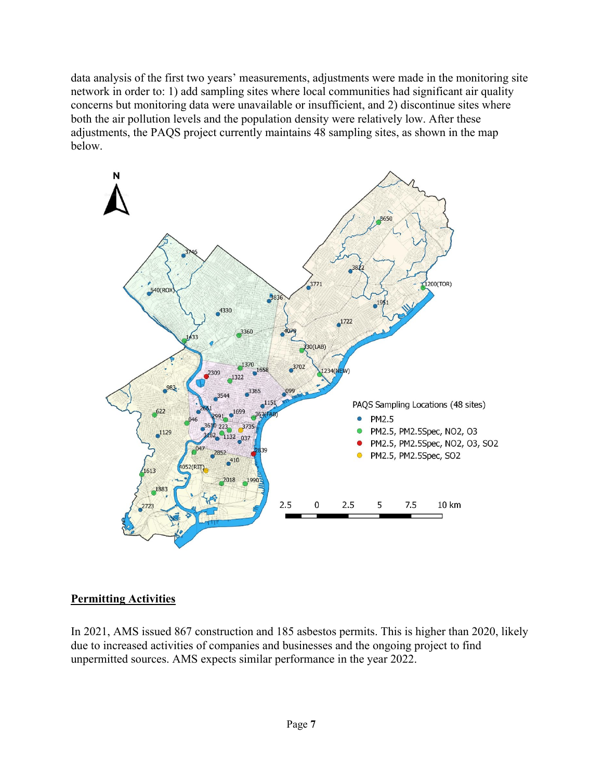data analysis of the first two years' measurements, adjustments were made in the monitoring site network in order to: 1) add sampling sites where local communities had significant air quality concerns but monitoring data were unavailable or insufficient, and 2) discontinue sites where both the air pollution levels and the population density were relatively low. After these adjustments, the PAQS project currently maintains 48 sampling sites, as shown in the map below.



## **Permitting Activities**

In 2021, AMS issued 867 construction and 185 asbestos permits. This is higher than 2020, likely due to increased activities of companies and businesses and the ongoing project to find unpermitted sources. AMS expects similar performance in the year 2022.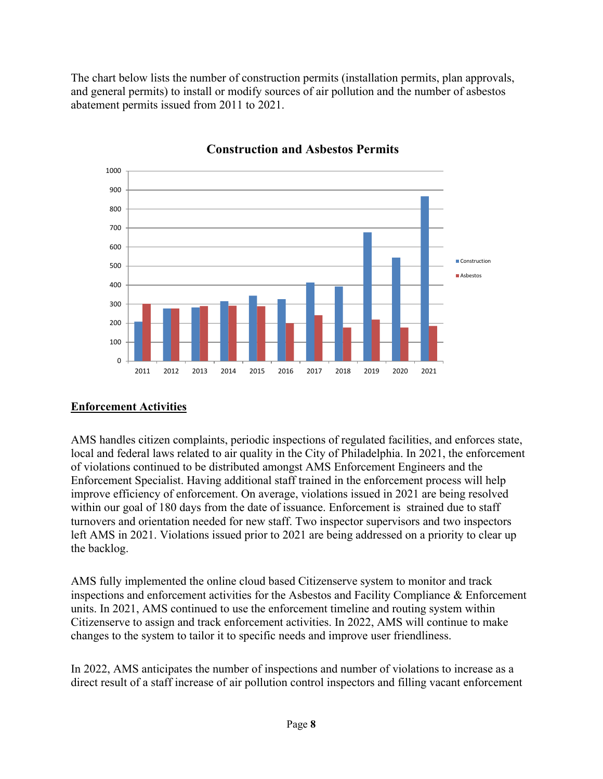The chart below lists the number of construction permits (installation permits, plan approvals, and general permits) to install or modify sources of air pollution and the number of asbestos abatement permits issued from 2011 to 2021.



**Construction and Asbestos Permits**

## **Enforcement Activities**

AMS handles citizen complaints, periodic inspections of regulated facilities, and enforces state, local and federal laws related to air quality in the City of Philadelphia. In 2021, the enforcement of violations continued to be distributed amongst AMS Enforcement Engineers and the Enforcement Specialist. Having additional staff trained in the enforcement process will help improve efficiency of enforcement. On average, violations issued in 2021 are being resolved within our goal of 180 days from the date of issuance. Enforcement is strained due to staff turnovers and orientation needed for new staff. Two inspector supervisors and two inspectors left AMS in 2021. Violations issued prior to 2021 are being addressed on a priority to clear up the backlog.

AMS fully implemented the online cloud based Citizenserve system to monitor and track inspections and enforcement activities for the Asbestos and Facility Compliance & Enforcement units. In 2021, AMS continued to use the enforcement timeline and routing system within Citizenserve to assign and track enforcement activities. In 2022, AMS will continue to make changes to the system to tailor it to specific needs and improve user friendliness.

In 2022, AMS anticipates the number of inspections and number of violations to increase as a direct result of a staff increase of air pollution control inspectors and filling vacant enforcement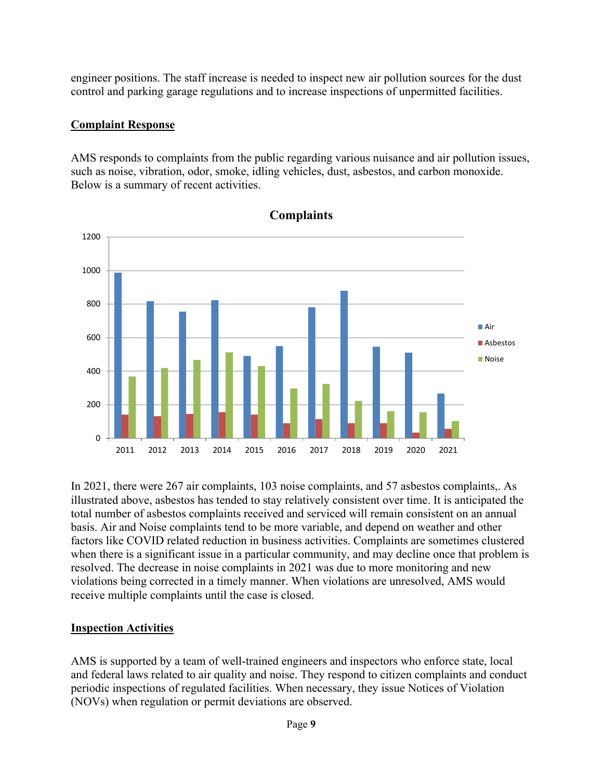engineer positions. The staff increase is needed to inspect new air pollution sources for the dust control and parking garage regulations and to increase inspections of unpermitted facilities.

## **Complaint Response**

AMS responds to complaints from the public regarding various nuisance and air pollution issues, such as noise, vibration, odor, smoke, idling vehicles, dust, asbestos, and carbon monoxide. Below is a summary of recent activities.



**Complaints**

In 2021, there were 267 air complaints, 103 noise complaints, and 57 asbestos complaints,. As illustrated above, asbestos has tended to stay relatively consistent over time. It is anticipated the total number of asbestos complaints received and serviced will remain consistent on an annual basis. Air and Noise complaints tend to be more variable, and depend on weather and other factors like COVID related reduction in business activities. Complaints are sometimes clustered when there is a significant issue in a particular community, and may decline once that problem is resolved. The decrease in noise complaints in 2021 was due to more monitoring and new violations being corrected in a timely manner. When violations are unresolved, AMS would receive multiple complaints until the case is closed.

## **Inspection Activities**

AMS is supported by a team of well-trained engineers and inspectors who enforce state, local and federal laws related to air quality and noise. They respond to citizen complaints and conduct periodic inspections of regulated facilities. When necessary, they issue Notices of Violation (NOVs) when regulation or permit deviations are observed.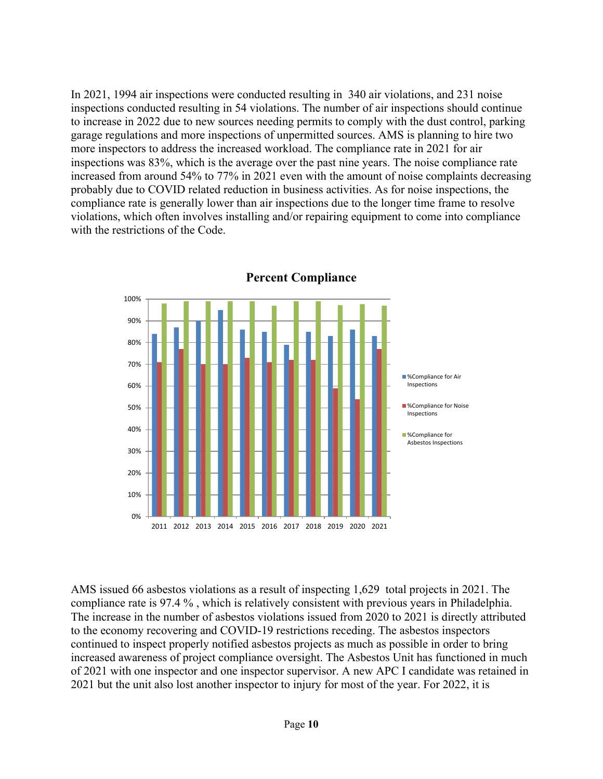In 2021, 1994 air inspections were conducted resulting in 340 air violations, and 231 noise inspections conducted resulting in 54 violations. The number of air inspections should continue to increase in 2022 due to new sources needing permits to comply with the dust control, parking garage regulations and more inspections of unpermitted sources. AMS is planning to hire two more inspectors to address the increased workload. The compliance rate in 2021 for air inspections was 83%, which is the average over the past nine years. The noise compliance rate increased from around 54% to 77% in 2021 even with the amount of noise complaints decreasing probably due to COVID related reduction in business activities. As for noise inspections, the compliance rate is generally lower than air inspections due to the longer time frame to resolve violations, which often involves installing and/or repairing equipment to come into compliance with the restrictions of the Code.



**Percent Compliance**

AMS issued 66 asbestos violations as a result of inspecting 1,629 total projects in 2021. The compliance rate is 97.4 % , which is relatively consistent with previous years in Philadelphia. The increase in the number of asbestos violations issued from 2020 to 2021 is directly attributed to the economy recovering and COVID-19 restrictions receding. The asbestos inspectors continued to inspect properly notified asbestos projects as much as possible in order to bring increased awareness of project compliance oversight. The Asbestos Unit has functioned in much of 2021 with one inspector and one inspector supervisor. A new APC I candidate was retained in 2021 but the unit also lost another inspector to injury for most of the year. For 2022, it is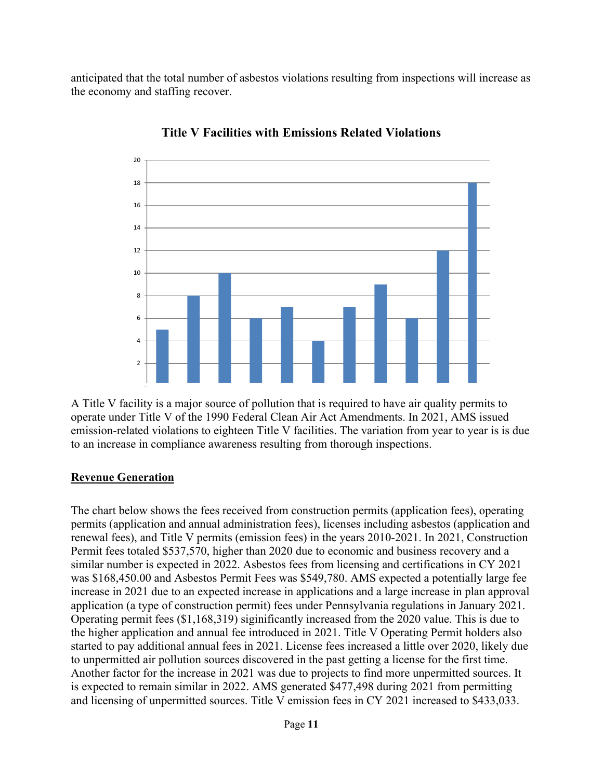anticipated that the total number of asbestos violations resulting from inspections will increase as the economy and staffing recover.



**Title V Facilities with Emissions Related Violations**

A Title V facility is a major source of pollution that is required to have air quality permits to operate under Title V of the 1990 Federal Clean Air Act Amendments. In 2021, AMS issued emission-related violations to eighteen Title V facilities. The variation from year to year is is due to an increase in compliance awareness resulting from thorough inspections.

## **Revenue Generation**

The chart below shows the fees received from construction permits (application fees), operating permits (application and annual administration fees), licenses including asbestos (application and renewal fees), and Title V permits (emission fees) in the years 2010-2021. In 2021, Construction Permit fees totaled \$537,570, higher than 2020 due to economic and business recovery and a similar number is expected in 2022. Asbestos fees from licensing and certifications in CY 2021 was \$168,450.00 and Asbestos Permit Fees was \$549,780. AMS expected a potentially large fee increase in 2021 due to an expected increase in applications and a large increase in plan approval application (a type of construction permit) fees under Pennsylvania regulations in January 2021. Operating permit fees (\$1,168,319) siginificantly increased from the 2020 value. This is due to the higher application and annual fee introduced in 2021. Title V Operating Permit holders also started to pay additional annual fees in 2021. License fees increased a little over 2020, likely due to unpermitted air pollution sources discovered in the past getting a license for the first time. Another factor for the increase in 2021 was due to projects to find more unpermitted sources. It is expected to remain similar in 2022. AMS generated \$477,498 during 2021 from permitting and licensing of unpermitted sources. Title V emission fees in CY 2021 increased to \$433,033.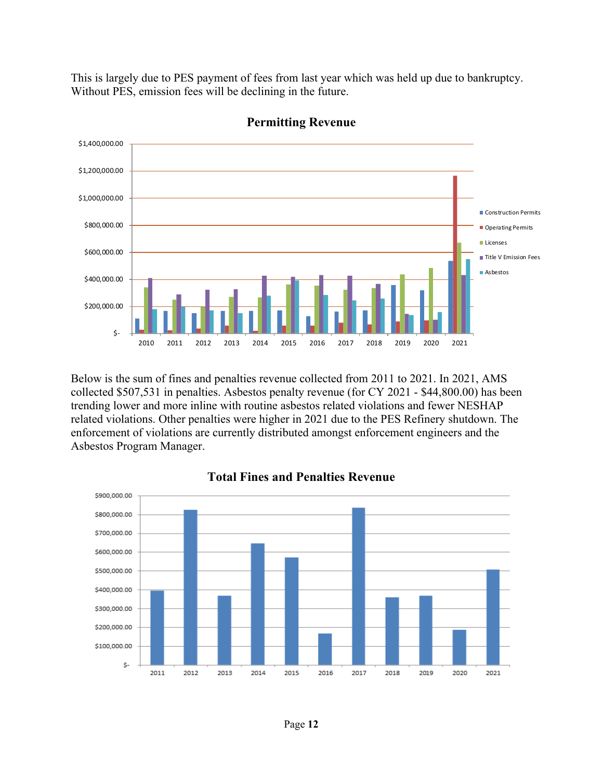This is largely due to PES payment of fees from last year which was held up due to bankruptcy. Without PES, emission fees will be declining in the future.



**Permitting Revenue**

Below is the sum of fines and penalties revenue collected from 2011 to 2021. In 2021, AMS collected \$507,531 in penalties. Asbestos penalty revenue (for CY 2021 - \$44,800.00) has been trending lower and more inline with routine asbestos related violations and fewer NESHAP related violations. Other penalties were higher in 2021 due to the PES Refinery shutdown. The enforcement of violations are currently distributed amongst enforcement engineers and the Asbestos Program Manager.



## **Total Fines and Penalties Revenue**